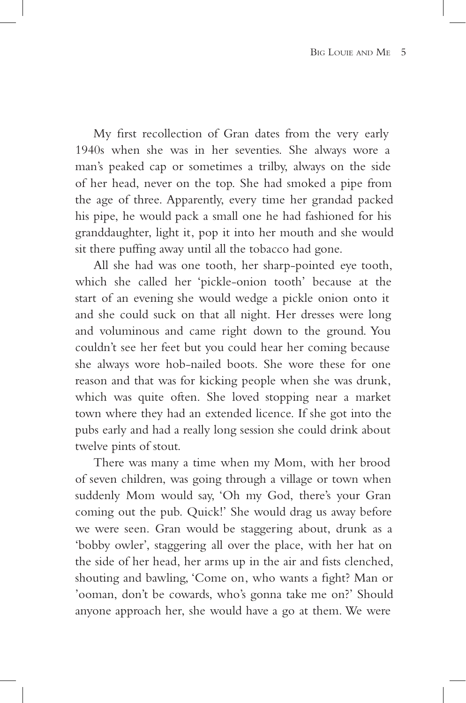My first recollection of Gran dates from the very early 1940s when she was in her seventies. She always wore a man's peaked cap or sometimes a trilby, always on the side of her head, never on the top. She had smoked a pipe from the age of three. Apparently, every time her grandad packed his pipe, he would pack a small one he had fashioned for his granddaughter, light it, pop it into her mouth and she would sit there puffing away until all the tobacco had gone.

All she had was one tooth, her sharp-pointed eye tooth, which she called her 'pickle-onion tooth' because at the start of an evening she would wedge a pickle onion onto it and she could suck on that all night. Her dresses were long and voluminous and came right down to the ground. You couldn't see her feet but you could hear her coming because she always wore hob-nailed boots. She wore these for one reason and that was for kicking people when she was drunk, which was quite often. She loved stopping near a market town where they had an extended licence. If she got into the pubs early and had a really long session she could drink about twelve pints of stout.

There was many a time when my Mom, with her brood of seven children, was going through a village or town when suddenly Mom would say, 'Oh my God, there's your Gran coming out the pub. Quick!' She would drag us away before we were seen. Gran would be staggering about, drunk as a 'bobby owler', staggering all over the place, with her hat on the side of her head, her arms up in the air and fists clenched, shouting and bawling, 'Come on, who wants a fight? Man or 'ooman, don't be cowards, who's gonna take me on?' Should anyone approach her, she would have a go at them. We were